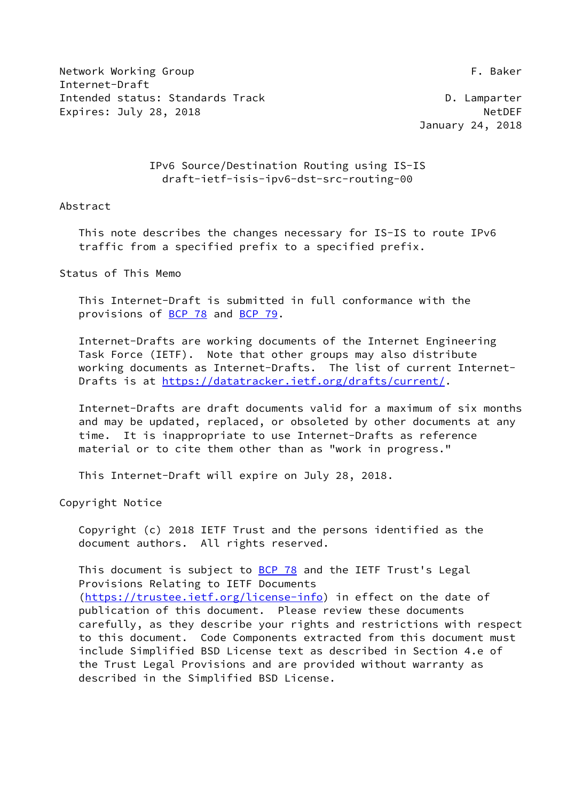Network Working Group **F. Baker** Internet-Draft Intended status: Standards Track D. Lamparter Expires: July 28, 2018 **NetDEF** 

January 24, 2018

## IPv6 Source/Destination Routing using IS-IS draft-ietf-isis-ipv6-dst-src-routing-00

## Abstract

 This note describes the changes necessary for IS-IS to route IPv6 traffic from a specified prefix to a specified prefix.

Status of This Memo

 This Internet-Draft is submitted in full conformance with the provisions of [BCP 78](https://datatracker.ietf.org/doc/pdf/bcp78) and [BCP 79](https://datatracker.ietf.org/doc/pdf/bcp79).

 Internet-Drafts are working documents of the Internet Engineering Task Force (IETF). Note that other groups may also distribute working documents as Internet-Drafts. The list of current Internet- Drafts is at<https://datatracker.ietf.org/drafts/current/>.

 Internet-Drafts are draft documents valid for a maximum of six months and may be updated, replaced, or obsoleted by other documents at any time. It is inappropriate to use Internet-Drafts as reference material or to cite them other than as "work in progress."

This Internet-Draft will expire on July 28, 2018.

Copyright Notice

 Copyright (c) 2018 IETF Trust and the persons identified as the document authors. All rights reserved.

This document is subject to **[BCP 78](https://datatracker.ietf.org/doc/pdf/bcp78)** and the IETF Trust's Legal Provisions Relating to IETF Documents [\(https://trustee.ietf.org/license-info](https://trustee.ietf.org/license-info)) in effect on the date of publication of this document. Please review these documents carefully, as they describe your rights and restrictions with respect to this document. Code Components extracted from this document must include Simplified BSD License text as described in Section 4.e of the Trust Legal Provisions and are provided without warranty as described in the Simplified BSD License.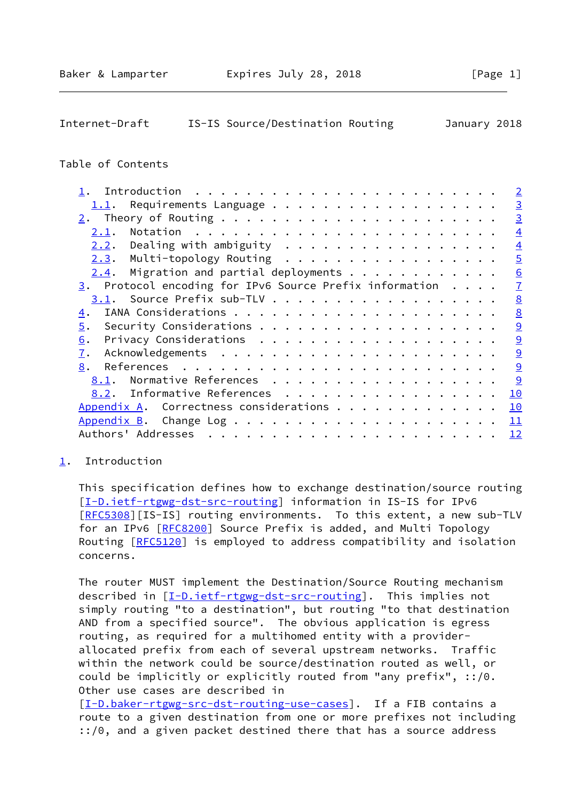# <span id="page-1-1"></span>Internet-Draft IS-IS Source/Destination Routing January 2018

## Table of Contents

|                                                                      | $\overline{2}$  |
|----------------------------------------------------------------------|-----------------|
| 1.1.                                                                 | $\overline{3}$  |
|                                                                      | $\overline{3}$  |
| 2.1.                                                                 | $\overline{4}$  |
| $2.2.$ Dealing with ambiguity                                        | $\overline{4}$  |
| Multi-topology Routing<br>2.3.                                       | $\overline{5}$  |
| Migration and partial deployments<br>2.4.                            | 6               |
| $\frac{3}{2}$ . Protocol encoding for IPv6 Source Prefix information | $\overline{1}$  |
| 3.1. Source Prefix sub-TLV                                           | $\underline{8}$ |
| 4.                                                                   | 8               |
| 5.                                                                   | $\overline{9}$  |
| 6.                                                                   | 9               |
| 7.                                                                   | $\overline{9}$  |
| 8.                                                                   | 9               |
| Normative References<br>8.1.                                         | 9               |
| Informative References<br>8.2.                                       | 10              |
| Appendix A. Correctness considerations                               | 10              |
|                                                                      | 11              |
|                                                                      | 12              |
|                                                                      |                 |

## <span id="page-1-0"></span>[1](#page-1-0). Introduction

 This specification defines how to exchange destination/source routing [\[I-D.ietf-rtgwg-dst-src-routing](#page-9-6)] information in IS-IS for IPv6 [\[RFC5308](https://datatracker.ietf.org/doc/pdf/rfc5308)][IS-IS] routing environments. To this extent, a new sub-TLV for an IPv6 [\[RFC8200](https://datatracker.ietf.org/doc/pdf/rfc8200)] Source Prefix is added, and Multi Topology Routing [\[RFC5120](https://datatracker.ietf.org/doc/pdf/rfc5120)] is employed to address compatibility and isolation concerns.

 The router MUST implement the Destination/Source Routing mechanism described in [\[I-D.ietf-rtgwg-dst-src-routing](#page-9-6)]. This implies not simply routing "to a destination", but routing "to that destination AND from a specified source". The obvious application is egress routing, as required for a multihomed entity with a provider allocated prefix from each of several upstream networks. Traffic within the network could be source/destination routed as well, or could be implicitly or explicitly routed from "any prefix", ::/0. Other use cases are described in

[\[I-D.baker-rtgwg-src-dst-routing-use-cases](#page-10-3)]. If a FIB contains a route to a given destination from one or more prefixes not including ::/0, and a given packet destined there that has a source address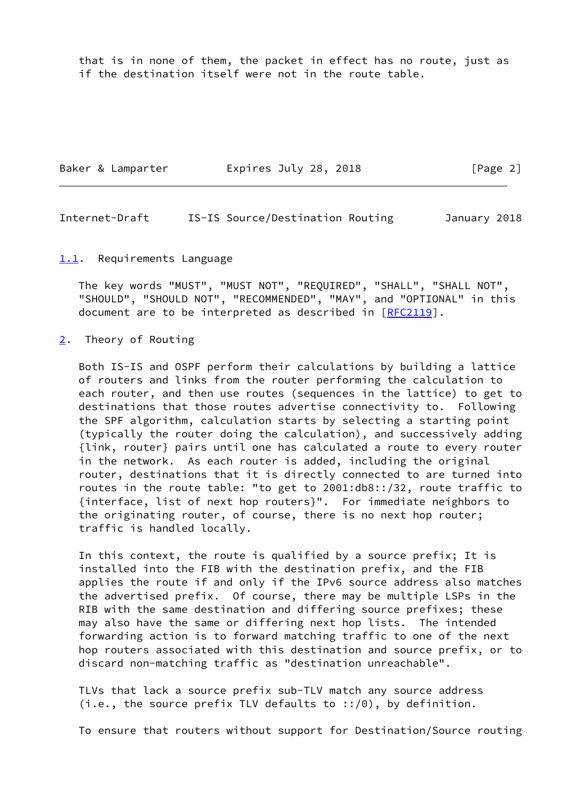that is in none of them, the packet in effect has no route, just as if the destination itself were not in the route table.

| Baker & Lamparter | Expires July 28, 2018 | [Page 2] |
|-------------------|-----------------------|----------|
|-------------------|-----------------------|----------|

<span id="page-2-1"></span>Internet-Draft IS-IS Source/Destination Routing January 2018

#### <span id="page-2-0"></span>[1.1](#page-2-0). Requirements Language

 The key words "MUST", "MUST NOT", "REQUIRED", "SHALL", "SHALL NOT", "SHOULD", "SHOULD NOT", "RECOMMENDED", "MAY", and "OPTIONAL" in this document are to be interpreted as described in [\[RFC2119](https://datatracker.ietf.org/doc/pdf/rfc2119)].

#### <span id="page-2-2"></span>[2](#page-2-2). Theory of Routing

 Both IS-IS and OSPF perform their calculations by building a lattice of routers and links from the router performing the calculation to each router, and then use routes (sequences in the lattice) to get to destinations that those routes advertise connectivity to. Following the SPF algorithm, calculation starts by selecting a starting point (typically the router doing the calculation), and successively adding {link, router} pairs until one has calculated a route to every router in the network. As each router is added, including the original router, destinations that it is directly connected to are turned into routes in the route table: "to get to 2001:db8::/32, route traffic to {interface, list of next hop routers}". For immediate neighbors to the originating router, of course, there is no next hop router; traffic is handled locally.

 In this context, the route is qualified by a source prefix; It is installed into the FIB with the destination prefix, and the FIB applies the route if and only if the IPv6 source address also matches the advertised prefix. Of course, there may be multiple LSPs in the RIB with the same destination and differing source prefixes; these may also have the same or differing next hop lists. The intended forwarding action is to forward matching traffic to one of the next hop routers associated with this destination and source prefix, or to discard non-matching traffic as "destination unreachable".

 TLVs that lack a source prefix sub-TLV match any source address (i.e., the source prefix TLV defaults to  $::/0)$ , by definition.

To ensure that routers without support for Destination/Source routing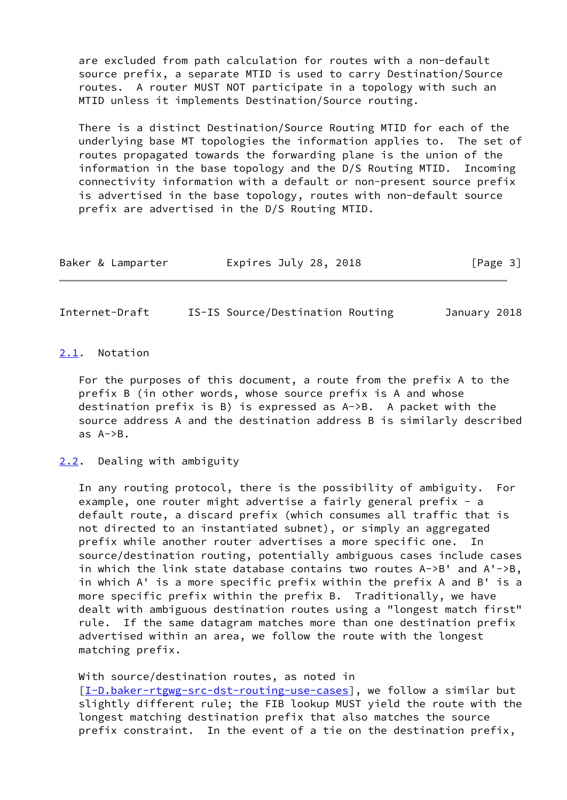are excluded from path calculation for routes with a non-default source prefix, a separate MTID is used to carry Destination/Source routes. A router MUST NOT participate in a topology with such an MTID unless it implements Destination/Source routing.

 There is a distinct Destination/Source Routing MTID for each of the underlying base MT topologies the information applies to. The set of routes propagated towards the forwarding plane is the union of the information in the base topology and the D/S Routing MTID. Incoming connectivity information with a default or non-present source prefix is advertised in the base topology, routes with non-default source prefix are advertised in the D/S Routing MTID.

| Expires July 28, 2018<br>[Page 3]<br>Baker & Lamparter |  |
|--------------------------------------------------------|--|
|--------------------------------------------------------|--|

<span id="page-3-1"></span>Internet-Draft IS-IS Source/Destination Routing January 2018

### <span id="page-3-0"></span>[2.1](#page-3-0). Notation

 For the purposes of this document, a route from the prefix A to the prefix B (in other words, whose source prefix is A and whose destination prefix is B) is expressed as A->B. A packet with the source address A and the destination address B is similarly described as A->B.

#### <span id="page-3-2"></span>[2.2](#page-3-2). Dealing with ambiguity

 In any routing protocol, there is the possibility of ambiguity. For example, one router might advertise a fairly general prefix - a default route, a discard prefix (which consumes all traffic that is not directed to an instantiated subnet), or simply an aggregated prefix while another router advertises a more specific one. In source/destination routing, potentially ambiguous cases include cases in which the link state database contains two routes A->B' and A'->B, in which A' is a more specific prefix within the prefix A and B' is a more specific prefix within the prefix B. Traditionally, we have dealt with ambiguous destination routes using a "longest match first" rule. If the same datagram matches more than one destination prefix advertised within an area, we follow the route with the longest matching prefix.

 With source/destination routes, as noted in [\[I-D.baker-rtgwg-src-dst-routing-use-cases](#page-10-3)], we follow a similar but slightly different rule; the FIB lookup MUST yield the route with the longest matching destination prefix that also matches the source prefix constraint. In the event of a tie on the destination prefix,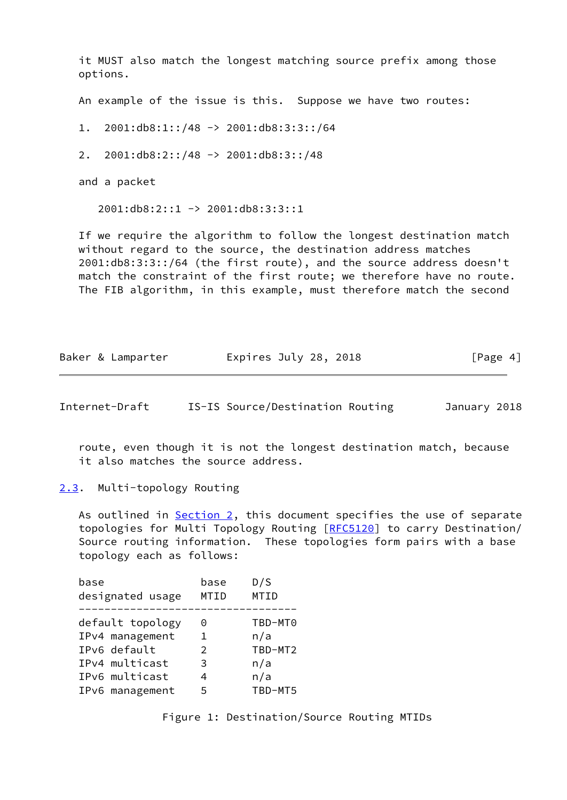it MUST also match the longest matching source prefix among those options.

An example of the issue is this. Suppose we have two routes:

1. 2001:db8:1::/48 -> 2001:db8:3:3::/64

2. 2001:db8:2::/48 -> 2001:db8:3::/48

and a packet

2001:db8:2::1 -> 2001:db8:3:3::1

 If we require the algorithm to follow the longest destination match without regard to the source, the destination address matches 2001:db8:3:3::/64 (the first route), and the source address doesn't match the constraint of the first route; we therefore have no route. The FIB algorithm, in this example, must therefore match the second

| Expires July 28, 2018<br>Baker & Lamparter | [Page 4] |
|--------------------------------------------|----------|
|--------------------------------------------|----------|

<span id="page-4-1"></span>Internet-Draft IS-IS Source/Destination Routing January 2018

 route, even though it is not the longest destination match, because it also matches the source address.

<span id="page-4-0"></span>[2.3](#page-4-0). Multi-topology Routing

As outlined in **Section 2**, this document specifies the use of separate topologies for Multi Topology Routing [[RFC5120](https://datatracker.ietf.org/doc/pdf/rfc5120)] to carry Destination/ Source routing information. These topologies form pairs with a base topology each as follows:

| base<br>designated usage | base<br>MTID  | D/S<br>MTID |
|--------------------------|---------------|-------------|
| default topology         | 0             | TBD-MT0     |
| IPv4 management          | 1.            | n/a         |
| IPv6 default             | $\mathcal{P}$ | TBD-MT2     |
| IPv4 multicast           | 3             | n/a         |
| IPv6 multicast           |               | n/a         |
| IPv6 management          | 5             | TBD-MT5     |
|                          |               |             |

Figure 1: Destination/Source Routing MTIDs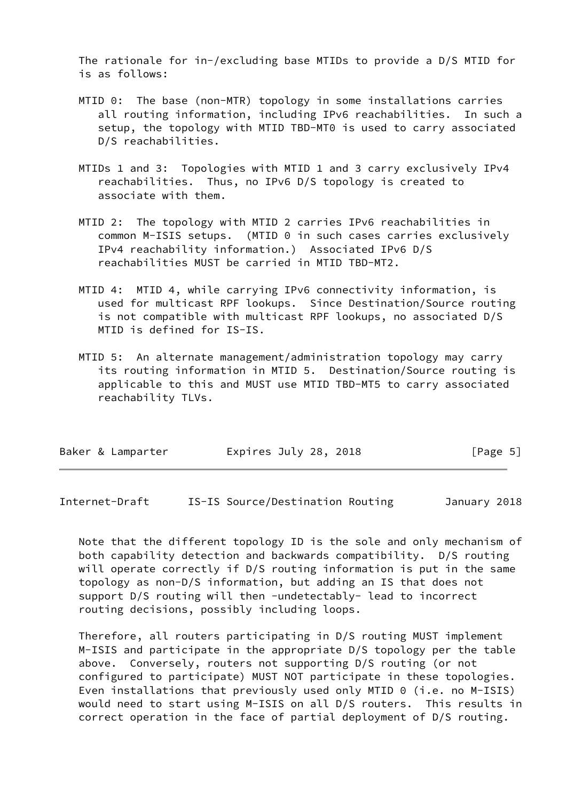The rationale for in-/excluding base MTIDs to provide a D/S MTID for is as follows:

- MTID 0: The base (non-MTR) topology in some installations carries all routing information, including IPv6 reachabilities. In such a setup, the topology with MTID TBD-MT0 is used to carry associated D/S reachabilities.
- MTIDs 1 and 3: Topologies with MTID 1 and 3 carry exclusively IPv4 reachabilities. Thus, no IPv6 D/S topology is created to associate with them.
- MTID 2: The topology with MTID 2 carries IPv6 reachabilities in common M-ISIS setups. (MTID 0 in such cases carries exclusively IPv4 reachability information.) Associated IPv6 D/S reachabilities MUST be carried in MTID TBD-MT2.
- MTID 4: MTID 4, while carrying IPv6 connectivity information, is used for multicast RPF lookups. Since Destination/Source routing is not compatible with multicast RPF lookups, no associated D/S MTID is defined for IS-IS.
- MTID 5: An alternate management/administration topology may carry its routing information in MTID 5. Destination/Source routing is applicable to this and MUST use MTID TBD-MT5 to carry associated reachability TLVs.

| Baker & Lamparter | Expires July 28, 2018 | [Page 5] |
|-------------------|-----------------------|----------|
|-------------------|-----------------------|----------|

<span id="page-5-0"></span>Internet-Draft IS-IS Source/Destination Routing January 2018

 Note that the different topology ID is the sole and only mechanism of both capability detection and backwards compatibility. D/S routing will operate correctly if D/S routing information is put in the same topology as non-D/S information, but adding an IS that does not support D/S routing will then -undetectably- lead to incorrect routing decisions, possibly including loops.

 Therefore, all routers participating in D/S routing MUST implement M-ISIS and participate in the appropriate D/S topology per the table above. Conversely, routers not supporting D/S routing (or not configured to participate) MUST NOT participate in these topologies. Even installations that previously used only MTID 0 (i.e. no M-ISIS) would need to start using M-ISIS on all D/S routers. This results in correct operation in the face of partial deployment of D/S routing.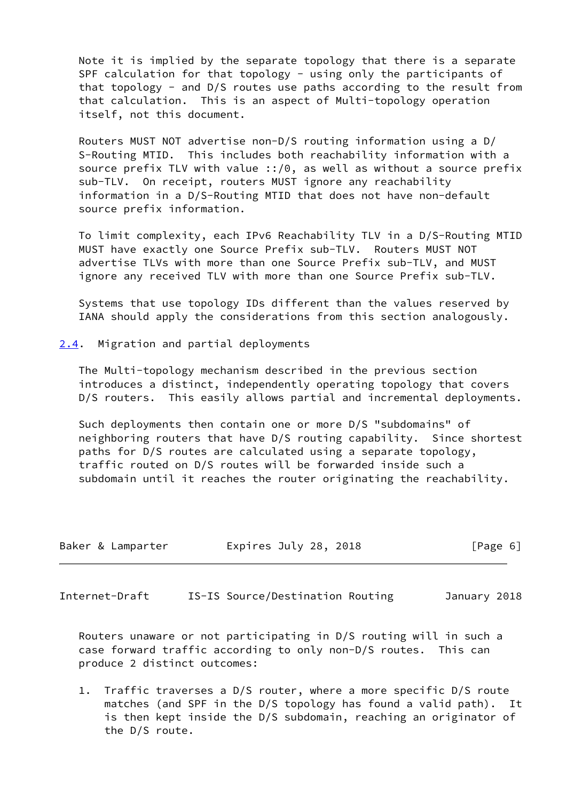Note it is implied by the separate topology that there is a separate SPF calculation for that topology - using only the participants of that topology - and D/S routes use paths according to the result from that calculation. This is an aspect of Multi-topology operation itself, not this document.

 Routers MUST NOT advertise non-D/S routing information using a D/ S-Routing MTID. This includes both reachability information with a source prefix TLV with value ::/0, as well as without a source prefix sub-TLV. On receipt, routers MUST ignore any reachability information in a D/S-Routing MTID that does not have non-default source prefix information.

 To limit complexity, each IPv6 Reachability TLV in a D/S-Routing MTID MUST have exactly one Source Prefix sub-TLV. Routers MUST NOT advertise TLVs with more than one Source Prefix sub-TLV, and MUST ignore any received TLV with more than one Source Prefix sub-TLV.

 Systems that use topology IDs different than the values reserved by IANA should apply the considerations from this section analogously.

<span id="page-6-0"></span>[2.4](#page-6-0). Migration and partial deployments

 The Multi-topology mechanism described in the previous section introduces a distinct, independently operating topology that covers D/S routers. This easily allows partial and incremental deployments.

 Such deployments then contain one or more D/S "subdomains" of neighboring routers that have D/S routing capability. Since shortest paths for D/S routes are calculated using a separate topology, traffic routed on D/S routes will be forwarded inside such a subdomain until it reaches the router originating the reachability.

| Expires July 28, 2018<br>Baker & Lamparter<br>[Page 6] |  |  |  |  |  |  |  |  |
|--------------------------------------------------------|--|--|--|--|--|--|--|--|
|--------------------------------------------------------|--|--|--|--|--|--|--|--|

<span id="page-6-1"></span>Internet-Draft IS-IS Source/Destination Routing January 2018

 Routers unaware or not participating in D/S routing will in such a case forward traffic according to only non-D/S routes. This can produce 2 distinct outcomes:

 1. Traffic traverses a D/S router, where a more specific D/S route matches (and SPF in the D/S topology has found a valid path). It is then kept inside the D/S subdomain, reaching an originator of the D/S route.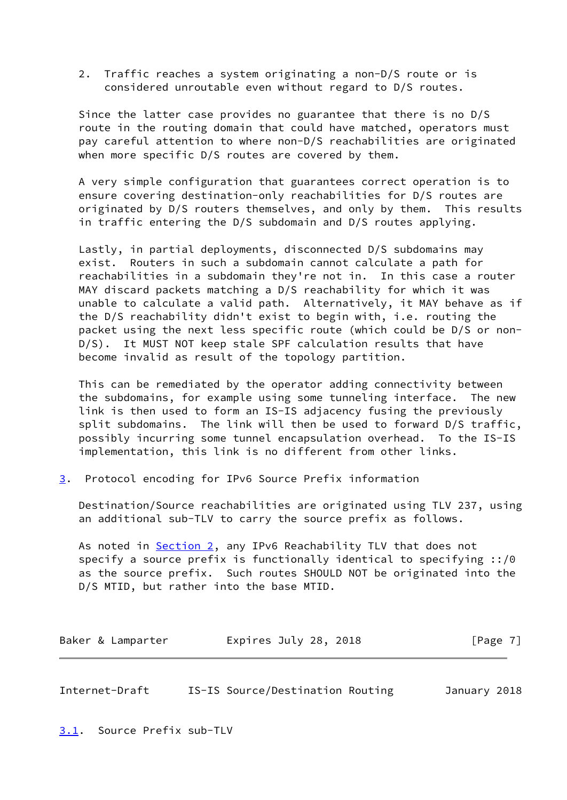2. Traffic reaches a system originating a non-D/S route or is considered unroutable even without regard to D/S routes.

 Since the latter case provides no guarantee that there is no D/S route in the routing domain that could have matched, operators must pay careful attention to where non-D/S reachabilities are originated when more specific D/S routes are covered by them.

 A very simple configuration that guarantees correct operation is to ensure covering destination-only reachabilities for D/S routes are originated by D/S routers themselves, and only by them. This results in traffic entering the D/S subdomain and D/S routes applying.

 Lastly, in partial deployments, disconnected D/S subdomains may exist. Routers in such a subdomain cannot calculate a path for reachabilities in a subdomain they're not in. In this case a router MAY discard packets matching a D/S reachability for which it was unable to calculate a valid path. Alternatively, it MAY behave as if the D/S reachability didn't exist to begin with, i.e. routing the packet using the next less specific route (which could be D/S or non- D/S). It MUST NOT keep stale SPF calculation results that have become invalid as result of the topology partition.

 This can be remediated by the operator adding connectivity between the subdomains, for example using some tunneling interface. The new link is then used to form an IS-IS adjacency fusing the previously split subdomains. The link will then be used to forward D/S traffic, possibly incurring some tunnel encapsulation overhead. To the IS-IS implementation, this link is no different from other links.

<span id="page-7-0"></span>[3](#page-7-0). Protocol encoding for IPv6 Source Prefix information

 Destination/Source reachabilities are originated using TLV 237, using an additional sub-TLV to carry the source prefix as follows.

As noted in [Section 2,](#page-2-2) any IPv6 Reachability TLV that does not specify a source prefix is functionally identical to specifying ::/0 as the source prefix. Such routes SHOULD NOT be originated into the D/S MTID, but rather into the base MTID.

| Expires July 28, 2018<br>Baker & Lamparter | [Page 7] |
|--------------------------------------------|----------|
|--------------------------------------------|----------|

<span id="page-7-2"></span>Internet-Draft IS-IS Source/Destination Routing January 2018

<span id="page-7-1"></span>[3.1](#page-7-1). Source Prefix sub-TLV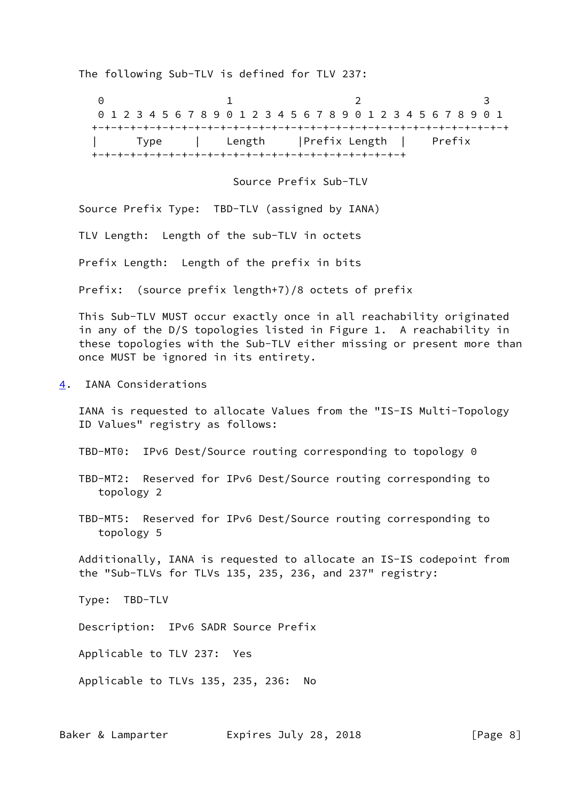The following Sub-TLV is defined for TLV 237:

0 1 2 3 0 1 2 3 4 5 6 7 8 9 0 1 2 3 4 5 6 7 8 9 0 1 2 3 4 5 6 7 8 9 0 1 +-+-+-+-+-+-+-+-+-+-+-+-+-+-+-+-+-+-+-+-+-+-+-+-+-+-+-+-+-+-+-+-+ | Type | Length |Prefix Length | Prefix +-+-+-+-+-+-+-+-+-+-+-+-+-+-+-+-+-+-+-+-+-+-+-+-+

Source Prefix Sub-TLV

Source Prefix Type: TBD-TLV (assigned by IANA)

TLV Length: Length of the sub-TLV in octets

Prefix Length: Length of the prefix in bits

Prefix: (source prefix length+7)/8 octets of prefix

 This Sub-TLV MUST occur exactly once in all reachability originated in any of the D/S topologies listed in Figure 1. A reachability in these topologies with the Sub-TLV either missing or present more than once MUST be ignored in its entirety.

<span id="page-8-0"></span>[4](#page-8-0). IANA Considerations

 IANA is requested to allocate Values from the "IS-IS Multi-Topology ID Values" registry as follows:

TBD-MT0: IPv6 Dest/Source routing corresponding to topology 0

- TBD-MT2: Reserved for IPv6 Dest/Source routing corresponding to topology 2
- TBD-MT5: Reserved for IPv6 Dest/Source routing corresponding to topology 5

 Additionally, IANA is requested to allocate an IS-IS codepoint from the "Sub-TLVs for TLVs 135, 235, 236, and 237" registry:

Type: TBD-TLV

Description: IPv6 SADR Source Prefix

Applicable to TLV 237: Yes

Applicable to TLVs 135, 235, 236: No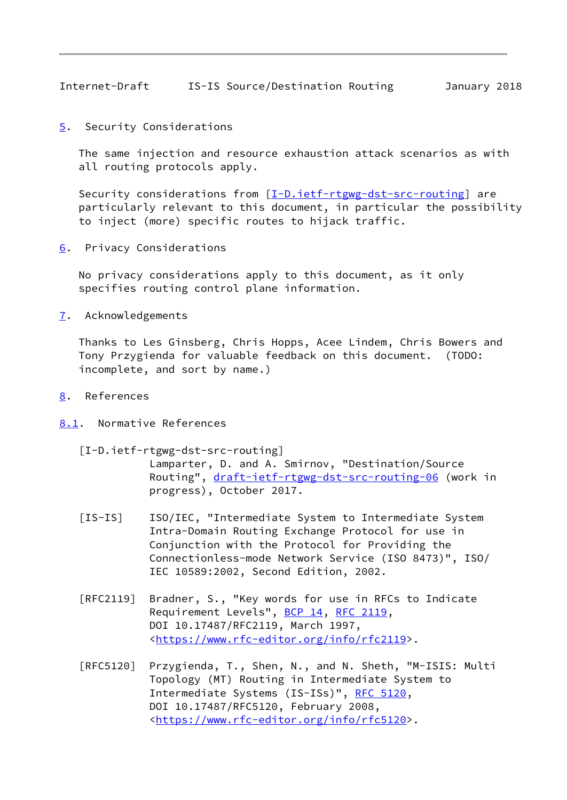<span id="page-9-1"></span>Internet-Draft IS-IS Source/Destination Routing January 2018

<span id="page-9-0"></span>[5](#page-9-0). Security Considerations

 The same injection and resource exhaustion attack scenarios as with all routing protocols apply.

 Security considerations from [\[I-D.ietf-rtgwg-dst-src-routing](#page-9-6)] are particularly relevant to this document, in particular the possibility to inject (more) specific routes to hijack traffic.

<span id="page-9-2"></span>[6](#page-9-2). Privacy Considerations

 No privacy considerations apply to this document, as it only specifies routing control plane information.

<span id="page-9-3"></span>[7](#page-9-3). Acknowledgements

 Thanks to Les Ginsberg, Chris Hopps, Acee Lindem, Chris Bowers and Tony Przygienda for valuable feedback on this document. (TODO: incomplete, and sort by name.)

- <span id="page-9-4"></span>[8](#page-9-4). References
- <span id="page-9-6"></span><span id="page-9-5"></span>[8.1](#page-9-5). Normative References
	- [I-D.ietf-rtgwg-dst-src-routing]
		- Lamparter, D. and A. Smirnov, "Destination/Source Routing", [draft-ietf-rtgwg-dst-src-routing-06](https://datatracker.ietf.org/doc/pdf/draft-ietf-rtgwg-dst-src-routing-06) (work in progress), October 2017.
	- [IS-IS] ISO/IEC, "Intermediate System to Intermediate System Intra-Domain Routing Exchange Protocol for use in Conjunction with the Protocol for Providing the Connectionless-mode Network Service (ISO 8473)", ISO/ IEC 10589:2002, Second Edition, 2002.
	- [RFC2119] Bradner, S., "Key words for use in RFCs to Indicate Requirement Levels", [BCP 14](https://datatracker.ietf.org/doc/pdf/bcp14), [RFC 2119](https://datatracker.ietf.org/doc/pdf/rfc2119), DOI 10.17487/RFC2119, March 1997, <[https://www.rfc-editor.org/info/rfc2119>](https://www.rfc-editor.org/info/rfc2119).
	- [RFC5120] Przygienda, T., Shen, N., and N. Sheth, "M-ISIS: Multi Topology (MT) Routing in Intermediate System to Intermediate Systems (IS-ISs)", [RFC 5120,](https://datatracker.ietf.org/doc/pdf/rfc5120) DOI 10.17487/RFC5120, February 2008, <[https://www.rfc-editor.org/info/rfc5120>](https://www.rfc-editor.org/info/rfc5120).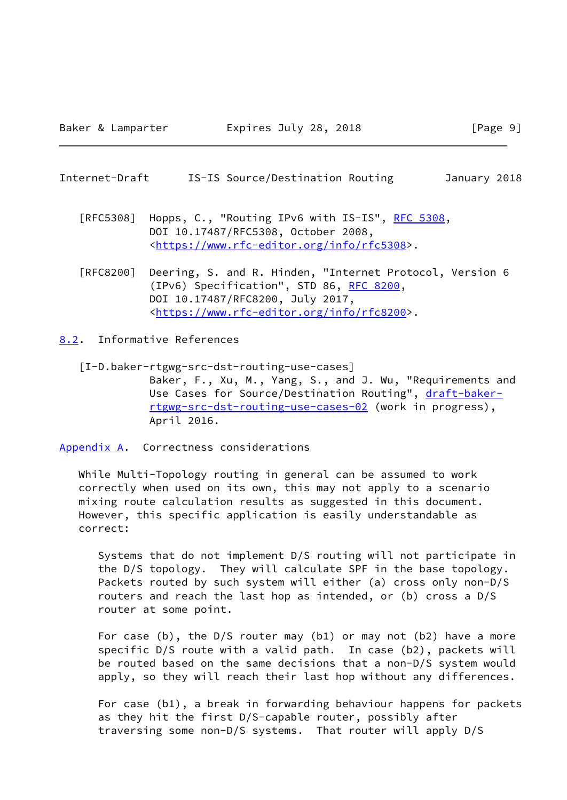#### <span id="page-10-1"></span>Internet-Draft IS-IS Source/Destination Routing January 2018

- [RFC5308] Hopps, C., "Routing IPv6 with IS-IS", [RFC 5308](https://datatracker.ietf.org/doc/pdf/rfc5308), DOI 10.17487/RFC5308, October 2008, <[https://www.rfc-editor.org/info/rfc5308>](https://www.rfc-editor.org/info/rfc5308).
- [RFC8200] Deering, S. and R. Hinden, "Internet Protocol, Version 6 (IPv6) Specification", STD 86, [RFC 8200](https://datatracker.ietf.org/doc/pdf/rfc8200), DOI 10.17487/RFC8200, July 2017, <[https://www.rfc-editor.org/info/rfc8200>](https://www.rfc-editor.org/info/rfc8200).

<span id="page-10-0"></span>[8.2](#page-10-0). Informative References

<span id="page-10-3"></span> [I-D.baker-rtgwg-src-dst-routing-use-cases] Baker, F., Xu, M., Yang, S., and J. Wu, "Requirements and Use Cases for Source/Destination Routing", [draft-baker](https://datatracker.ietf.org/doc/pdf/draft-baker-rtgwg-src-dst-routing-use-cases-02) [rtgwg-src-dst-routing-use-cases-02](https://datatracker.ietf.org/doc/pdf/draft-baker-rtgwg-src-dst-routing-use-cases-02) (work in progress), April 2016.

<span id="page-10-2"></span>[Appendix A.](#page-10-2) Correctness considerations

 While Multi-Topology routing in general can be assumed to work correctly when used on its own, this may not apply to a scenario mixing route calculation results as suggested in this document. However, this specific application is easily understandable as correct:

 Systems that do not implement D/S routing will not participate in the D/S topology. They will calculate SPF in the base topology. Packets routed by such system will either (a) cross only non-D/S routers and reach the last hop as intended, or (b) cross a D/S router at some point.

 For case (b), the D/S router may (b1) or may not (b2) have a more specific D/S route with a valid path. In case (b2), packets will be routed based on the same decisions that a non-D/S system would apply, so they will reach their last hop without any differences.

 For case (b1), a break in forwarding behaviour happens for packets as they hit the first D/S-capable router, possibly after traversing some non-D/S systems. That router will apply D/S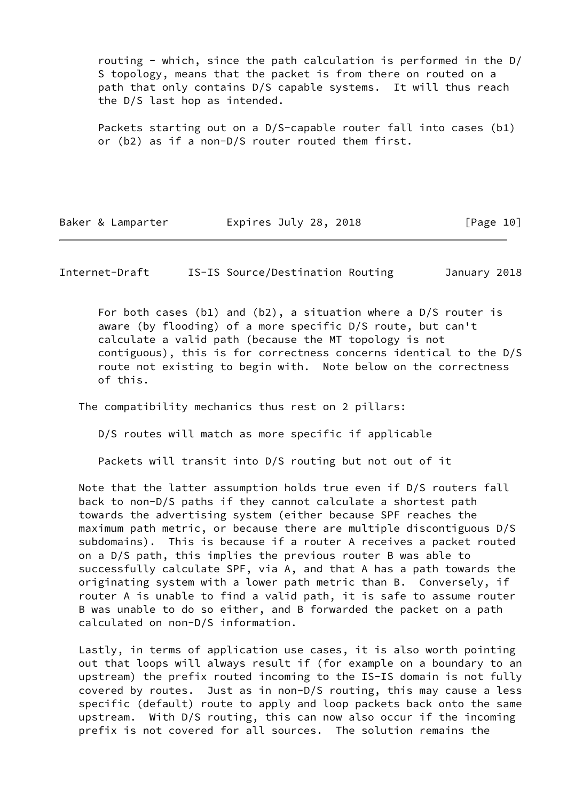routing - which, since the path calculation is performed in the D/ S topology, means that the packet is from there on routed on a path that only contains D/S capable systems. It will thus reach the D/S last hop as intended.

 Packets starting out on a D/S-capable router fall into cases (b1) or (b2) as if a non-D/S router routed them first.

Baker & Lamparter **Expires July 28, 2018** [Page 10]

<span id="page-11-0"></span>Internet-Draft IS-IS Source/Destination Routing January 2018

 For both cases (b1) and (b2), a situation where a D/S router is aware (by flooding) of a more specific D/S route, but can't calculate a valid path (because the MT topology is not contiguous), this is for correctness concerns identical to the D/S route not existing to begin with. Note below on the correctness of this.

The compatibility mechanics thus rest on 2 pillars:

D/S routes will match as more specific if applicable

Packets will transit into D/S routing but not out of it

 Note that the latter assumption holds true even if D/S routers fall back to non-D/S paths if they cannot calculate a shortest path towards the advertising system (either because SPF reaches the maximum path metric, or because there are multiple discontiguous D/S subdomains). This is because if a router A receives a packet routed on a D/S path, this implies the previous router B was able to successfully calculate SPF, via A, and that A has a path towards the originating system with a lower path metric than B. Conversely, if router A is unable to find a valid path, it is safe to assume router B was unable to do so either, and B forwarded the packet on a path calculated on non-D/S information.

 Lastly, in terms of application use cases, it is also worth pointing out that loops will always result if (for example on a boundary to an upstream) the prefix routed incoming to the IS-IS domain is not fully covered by routes. Just as in non-D/S routing, this may cause a less specific (default) route to apply and loop packets back onto the same upstream. With D/S routing, this can now also occur if the incoming prefix is not covered for all sources. The solution remains the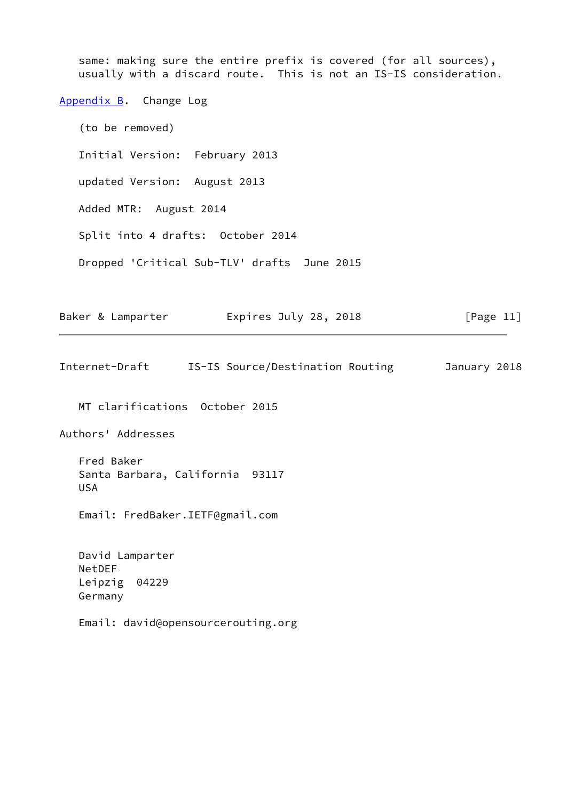<span id="page-12-1"></span><span id="page-12-0"></span>same: making sure the entire prefix is covered (for all sources), usually with a discard route. This is not an IS-IS consideration. [Appendix B.](#page-12-0) Change Log (to be removed) Initial Version: February 2013 updated Version: August 2013 Added MTR: August 2014 Split into 4 drafts: October 2014 Dropped 'Critical Sub-TLV' drafts June 2015 Baker & Lamparter **Expires July 28, 2018** [Page 11] Internet-Draft IS-IS Source/Destination Routing January 2018 MT clarifications October 2015 Authors' Addresses Fred Baker Santa Barbara, California 93117 USA Email: FredBaker.IETF@gmail.com David Lamparter NetDEF Leipzig 04229 Germany Email: david@opensourcerouting.org